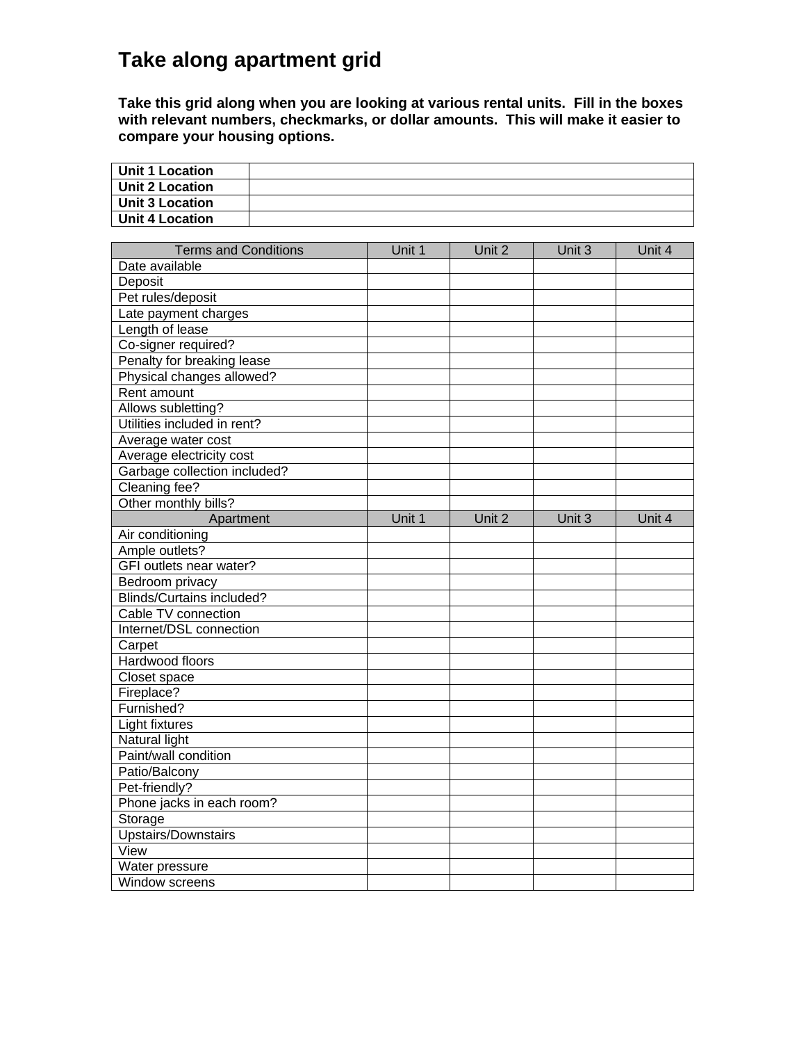## **Take along apartment grid**

**Take this grid along when you are looking at various rental units. Fill in the boxes with relevant numbers, checkmarks, or dollar amounts. This will make it easier to compare your housing options.**

٦

| <b>Unit 1 Location</b>           |        |        |        |        |
|----------------------------------|--------|--------|--------|--------|
| <b>Unit 2 Location</b>           |        |        |        |        |
| <b>Unit 3 Location</b>           |        |        |        |        |
| <b>Unit 4 Location</b>           |        |        |        |        |
|                                  |        |        |        |        |
| <b>Terms and Conditions</b>      | Unit 1 | Unit 2 | Unit 3 | Unit 4 |
| Date available                   |        |        |        |        |
| Deposit                          |        |        |        |        |
| Pet rules/deposit                |        |        |        |        |
| Late payment charges             |        |        |        |        |
| Length of lease                  |        |        |        |        |
| Co-signer required?              |        |        |        |        |
| Penalty for breaking lease       |        |        |        |        |
| Physical changes allowed?        |        |        |        |        |
| Rent amount                      |        |        |        |        |
| Allows subletting?               |        |        |        |        |
| Utilities included in rent?      |        |        |        |        |
| Average water cost               |        |        |        |        |
| Average electricity cost         |        |        |        |        |
| Garbage collection included?     |        |        |        |        |
| Cleaning fee?                    |        |        |        |        |
| Other monthly bills?             |        |        |        |        |
| Apartment                        | Unit 1 | Unit 2 | Unit 3 | Unit 4 |
| Air conditioning                 |        |        |        |        |
| Ample outlets?                   |        |        |        |        |
| GFI outlets near water?          |        |        |        |        |
| Bedroom privacy                  |        |        |        |        |
| <b>Blinds/Curtains included?</b> |        |        |        |        |
| Cable TV connection              |        |        |        |        |
| Internet/DSL connection          |        |        |        |        |
| Carpet                           |        |        |        |        |
| Hardwood floors                  |        |        |        |        |
| Closet space                     |        |        |        |        |
| Fireplace?                       |        |        |        |        |
| Furnished?                       |        |        |        |        |
| Light fixtures                   |        |        |        |        |
| Natural light                    |        |        |        |        |
| Paint/wall condition             |        |        |        |        |
| Patio/Balcony                    |        |        |        |        |
| Pet-friendly?                    |        |        |        |        |
| Phone jacks in each room?        |        |        |        |        |
| Storage                          |        |        |        |        |
| <b>Upstairs/Downstairs</b>       |        |        |        |        |
| View                             |        |        |        |        |
| Water pressure                   |        |        |        |        |
| Window screens                   |        |        |        |        |